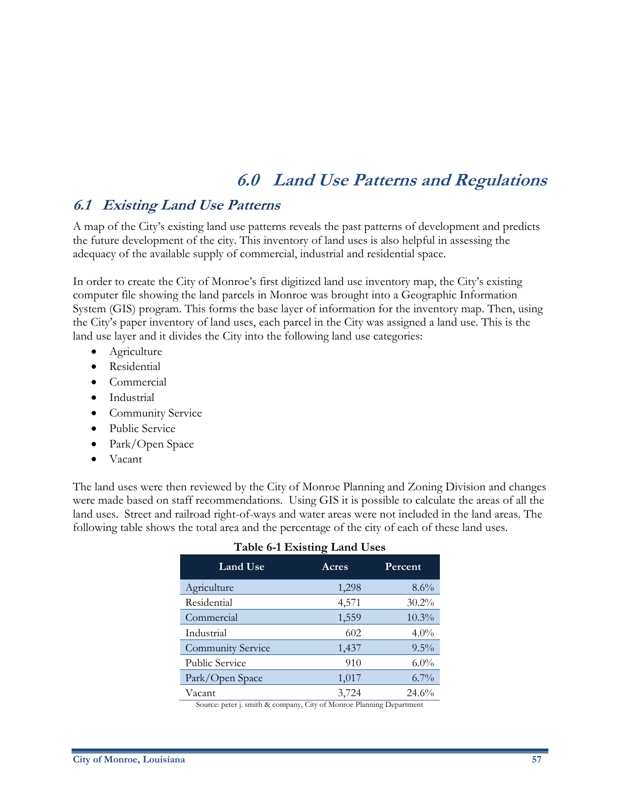# **6.0 Land Use Patterns and Regulations**

## **6.1 Existing Land Use Patterns**

A map of the City's existing land use patterns reveals the past patterns of development and predicts the future development of the city. This inventory of land uses is also helpful in assessing the adequacy of the available supply of commercial, industrial and residential space.

In order to create the City of Monroe's first digitized land use inventory map, the City's existing computer file showing the land parcels in Monroe was brought into a Geographic Information System (GIS) program. This forms the base layer of information for the inventory map. Then, using the City's paper inventory of land uses, each parcel in the City was assigned a land use. This is the land use layer and it divides the City into the following land use categories:

- Agriculture
- Residential
- Commercial
- Industrial
- Community Service
- Public Service
- Park/Open Space
- Vacant

The land uses were then reviewed by the City of Monroe Planning and Zoning Division and changes were made based on staff recommendations. Using GIS it is possible to calculate the areas of all the land uses. Street and railroad right-of-ways and water areas were not included in the land areas. The following table shows the total area and the percentage of the city of each of these land uses.

| Land Use                 | Acres | Percent  |  |
|--------------------------|-------|----------|--|
| Agriculture              | 1,298 | 8.6%     |  |
| Residential              | 4,571 | $30.2\%$ |  |
| Commercial               | 1,559 | $10.3\%$ |  |
| Industrial               | 602   | $4.0\%$  |  |
| <b>Community Service</b> | 1,437 | $9.5\%$  |  |
| <b>Public Service</b>    | 910   | $6.0\%$  |  |
| Park/Open Space          | 1,017 | $6.7\%$  |  |
| Vacant                   | 3,724 | 24.6%    |  |

#### **Table 6-1 Existing Land Uses**

Source: peter j. smith & company, City of Monroe Planning Department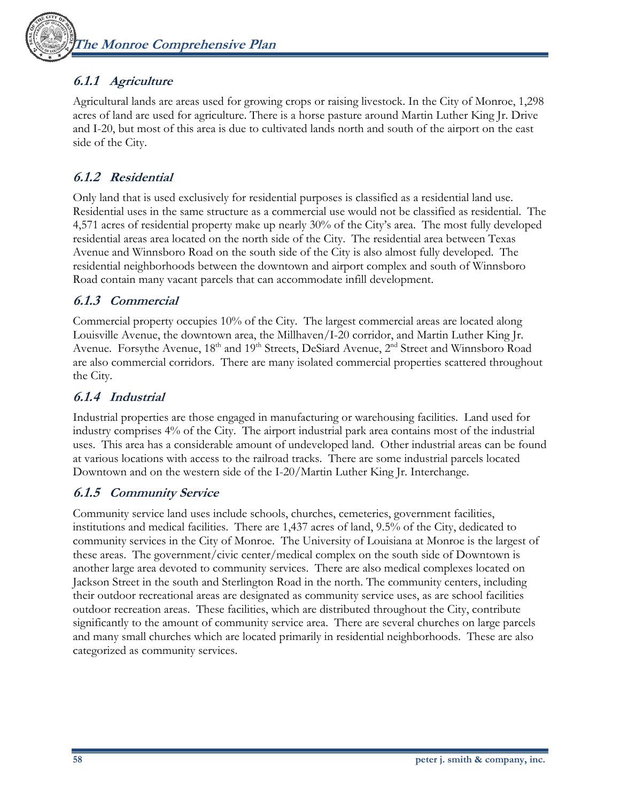## **6.1.1 Agriculture**

Agricultural lands are areas used for growing crops or raising livestock. In the City of Monroe, 1,298 acres of land are used for agriculture. There is a horse pasture around Martin Luther King Jr. Drive and I-20, but most of this area is due to cultivated lands north and south of the airport on the east side of the City.

## **6.1.2 Residential**

Only land that is used exclusively for residential purposes is classified as a residential land use. Residential uses in the same structure as a commercial use would not be classified as residential. The 4,571 acres of residential property make up nearly 30% of the City's area. The most fully developed residential areas area located on the north side of the City. The residential area between Texas Avenue and Winnsboro Road on the south side of the City is also almost fully developed. The residential neighborhoods between the downtown and airport complex and south of Winnsboro Road contain many vacant parcels that can accommodate infill development.

## **6.1.3 Commercial**

Commercial property occupies 10% of the City. The largest commercial areas are located along Louisville Avenue, the downtown area, the Millhaven/I-20 corridor, and Martin Luther King Jr. Avenue. Forsythe Avenue, 18<sup>th</sup> and 19<sup>th</sup> Streets, DeSiard Avenue, 2<sup>nd</sup> Street and Winnsboro Road are also commercial corridors. There are many isolated commercial properties scattered throughout the City.

## **6.1.4 Industrial**

Industrial properties are those engaged in manufacturing or warehousing facilities. Land used for industry comprises 4% of the City. The airport industrial park area contains most of the industrial uses. This area has a considerable amount of undeveloped land. Other industrial areas can be found at various locations with access to the railroad tracks. There are some industrial parcels located Downtown and on the western side of the I-20/Martin Luther King Jr. Interchange.

## **6.1.5 Community Service**

Community service land uses include schools, churches, cemeteries, government facilities, institutions and medical facilities. There are 1,437 acres of land, 9.5% of the City, dedicated to community services in the City of Monroe. The University of Louisiana at Monroe is the largest of these areas. The government/civic center/medical complex on the south side of Downtown is another large area devoted to community services. There are also medical complexes located on Jackson Street in the south and Sterlington Road in the north. The community centers, including their outdoor recreational areas are designated as community service uses, as are school facilities outdoor recreation areas. These facilities, which are distributed throughout the City, contribute significantly to the amount of community service area. There are several churches on large parcels and many small churches which are located primarily in residential neighborhoods. These are also categorized as community services.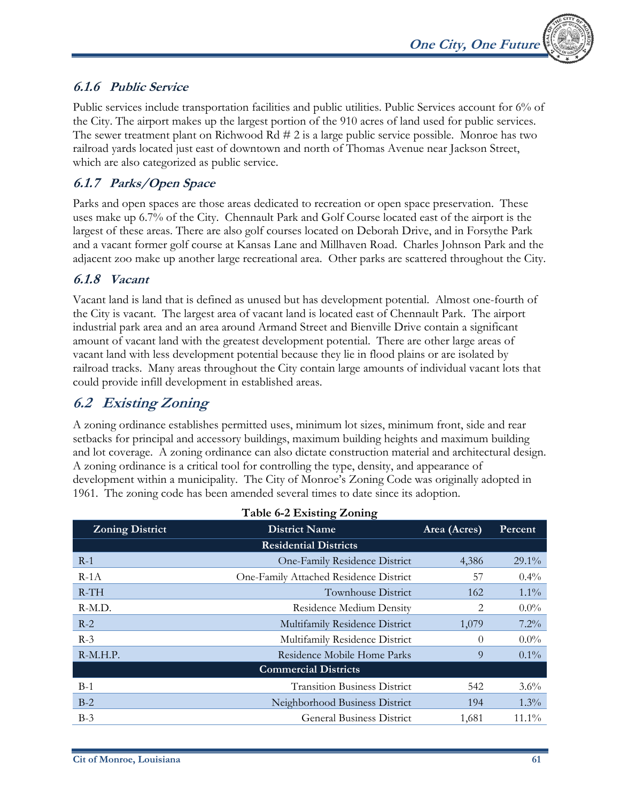## **6.1.6 Public Service**

Public services include transportation facilities and public utilities. Public Services account for 6% of the City. The airport makes up the largest portion of the 910 acres of land used for public services. The sewer treatment plant on Richwood Rd # 2 is a large public service possible. Monroe has two railroad yards located just east of downtown and north of Thomas Avenue near Jackson Street, which are also categorized as public service.

## **6.1.7 Parks/Open Space**

Parks and open spaces are those areas dedicated to recreation or open space preservation. These uses make up 6.7% of the City. Chennault Park and Golf Course located east of the airport is the largest of these areas. There are also golf courses located on Deborah Drive, and in Forsythe Park and a vacant former golf course at Kansas Lane and Millhaven Road. Charles Johnson Park and the adjacent zoo make up another large recreational area. Other parks are scattered throughout the City.

### **6.1.8 Vacant**

Vacant land is land that is defined as unused but has development potential. Almost one-fourth of the City is vacant. The largest area of vacant land is located east of Chennault Park. The airport industrial park area and an area around Armand Street and Bienville Drive contain a significant amount of vacant land with the greatest development potential. There are other large areas of vacant land with less development potential because they lie in flood plains or are isolated by railroad tracks. Many areas throughout the City contain large amounts of individual vacant lots that could provide infill development in established areas.

## **6.2 Existing Zoning**

A zoning ordinance establishes permitted uses, minimum lot sizes, minimum front, side and rear setbacks for principal and accessory buildings, maximum building heights and maximum building and lot coverage. A zoning ordinance can also dictate construction material and architectural design. A zoning ordinance is a critical tool for controlling the type, density, and appearance of development within a municipality. The City of Monroe's Zoning Code was originally adopted in 1961. The zoning code has been amended several times to date since its adoption.

| 1 apre 0-2 LAISUNG LOIMIE    |                                        |          |          |  |
|------------------------------|----------------------------------------|----------|----------|--|
| <b>Zoning District</b>       | <b>District Name</b>                   |          | Percent  |  |
| <b>Residential Districts</b> |                                        |          |          |  |
| $R-1$                        | One-Family Residence District          | 4,386    | $29.1\%$ |  |
| $R-1A$                       | One-Family Attached Residence District | 57       | $0.4\%$  |  |
| $R-TH$                       | Townhouse District                     | 162      | $1.1\%$  |  |
| R-M.D.                       | <b>Residence Medium Density</b>        | 2        | $0.0\%$  |  |
| $R-2$                        | Multifamily Residence District         | 1,079    | $7.2\%$  |  |
| $R-3$                        | Multifamily Residence District         | $\Omega$ | $0.0\%$  |  |
| $R-M.H.P.$                   | Residence Mobile Home Parks            | 9        | $0.1\%$  |  |
|                              | <b>Commercial Districts</b>            |          |          |  |
| $B-1$                        | <b>Transition Business District</b>    | 542      | $3.6\%$  |  |
| $B-2$                        | Neighborhood Business District         | 194      | $1.3\%$  |  |
| $B-3$                        | <b>General Business District</b>       | 1,681    | $11.1\%$ |  |

#### **Table 6-2 Existing Zoning**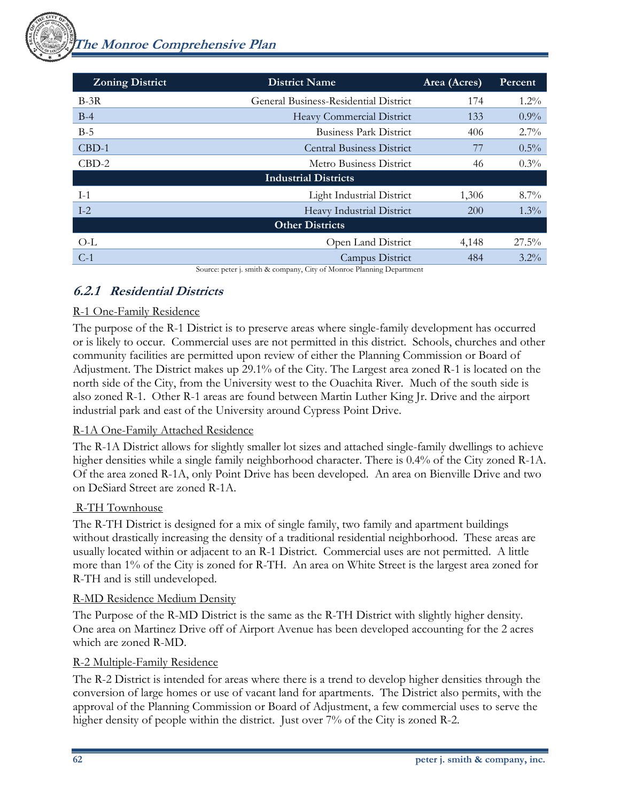| <b>Zoning District</b>      | <b>District Name</b>                                                              | Area (Acres) | Percent  |  |
|-----------------------------|-----------------------------------------------------------------------------------|--------------|----------|--|
| $B-3R$                      | General Business-Residential District                                             | 174          | $1.2\%$  |  |
| $B-4$                       | Heavy Commercial District                                                         | 133          | $0.9\%$  |  |
| $B-5$                       | <b>Business Park District</b>                                                     | 406          | $2.7\%$  |  |
| $CBD-1$                     | <b>Central Business District</b>                                                  | 77           | $0.5\%$  |  |
| $CBD-2$                     | Metro Business District                                                           | 46           | $0.3\%$  |  |
| <b>Industrial Districts</b> |                                                                                   |              |          |  |
| $I-1$                       | <b>Light Industrial District</b>                                                  | 1,306        | $8.7\%$  |  |
| $I-2$                       | Heavy Industrial District                                                         | <b>200</b>   | $1.3\%$  |  |
| <b>Other Districts</b>      |                                                                                   |              |          |  |
| $O-L$                       | Open Land District                                                                | 4,148        | $27.5\%$ |  |
| $C-1$                       | Campus District<br>Course setect and the Course of the CM and Director Department | 484          | $3.2\%$  |  |

Source: peter j. smith & company, City of Monroe Planning Department

## **6.2.1 Residential Districts**

### R-1 One-Family Residence

The purpose of the R-1 District is to preserve areas where single-family development has occurred or is likely to occur. Commercial uses are not permitted in this district. Schools, churches and other community facilities are permitted upon review of either the Planning Commission or Board of Adjustment. The District makes up 29.1% of the City. The Largest area zoned R-1 is located on the north side of the City, from the University west to the Ouachita River. Much of the south side is also zoned R-1. Other R-1 areas are found between Martin Luther King Jr. Drive and the airport industrial park and east of the University around Cypress Point Drive.

#### R-1A One-Family Attached Residence

The R-1A District allows for slightly smaller lot sizes and attached single-family dwellings to achieve higher densities while a single family neighborhood character. There is 0.4% of the City zoned R-1A. Of the area zoned R-1A, only Point Drive has been developed. An area on Bienville Drive and two on DeSiard Street are zoned R-1A.

#### R-TH Townhouse

The R-TH District is designed for a mix of single family, two family and apartment buildings without drastically increasing the density of a traditional residential neighborhood. These areas are usually located within or adjacent to an R-1 District. Commercial uses are not permitted. A little more than 1% of the City is zoned for R-TH. An area on White Street is the largest area zoned for R-TH and is still undeveloped.

#### R-MD Residence Medium Density

The Purpose of the R-MD District is the same as the R-TH District with slightly higher density. One area on Martinez Drive off of Airport Avenue has been developed accounting for the 2 acres which are zoned R-MD.

#### R-2 Multiple-Family Residence

The R-2 District is intended for areas where there is a trend to develop higher densities through the conversion of large homes or use of vacant land for apartments. The District also permits, with the approval of the Planning Commission or Board of Adjustment, a few commercial uses to serve the higher density of people within the district. Just over  $7\%$  of the City is zoned R-2.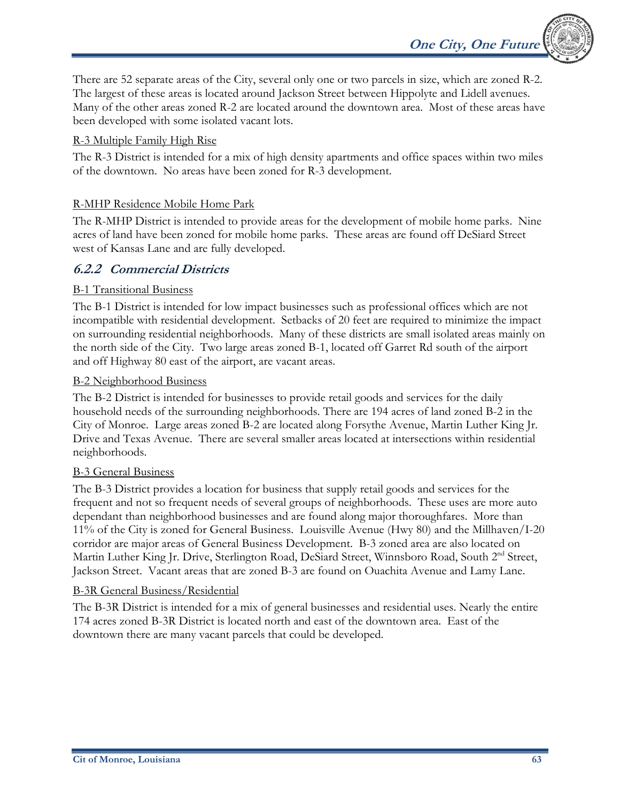There are 52 separate areas of the City, several only one or two parcels in size, which are zoned R-2. The largest of these areas is located around Jackson Street between Hippolyte and Lidell avenues. Many of the other areas zoned R-2 are located around the downtown area. Most of these areas have been developed with some isolated vacant lots.

**One City, One Future** 

#### R-3 Multiple Family High Rise

The R-3 District is intended for a mix of high density apartments and office spaces within two miles of the downtown. No areas have been zoned for R-3 development.

#### R-MHP Residence Mobile Home Park

The R-MHP District is intended to provide areas for the development of mobile home parks. Nine acres of land have been zoned for mobile home parks. These areas are found off DeSiard Street west of Kansas Lane and are fully developed.

#### **6.2.2 Commercial Districts**

#### B-1 Transitional Business

The B-1 District is intended for low impact businesses such as professional offices which are not incompatible with residential development. Setbacks of 20 feet are required to minimize the impact on surrounding residential neighborhoods. Many of these districts are small isolated areas mainly on the north side of the City. Two large areas zoned B-1, located off Garret Rd south of the airport and off Highway 80 east of the airport, are vacant areas.

#### B-2 Neighborhood Business

The B-2 District is intended for businesses to provide retail goods and services for the daily household needs of the surrounding neighborhoods. There are 194 acres of land zoned B-2 in the City of Monroe. Large areas zoned B-2 are located along Forsythe Avenue, Martin Luther King Jr. Drive and Texas Avenue. There are several smaller areas located at intersections within residential neighborhoods.

#### B-3 General Business

The B-3 District provides a location for business that supply retail goods and services for the frequent and not so frequent needs of several groups of neighborhoods. These uses are more auto dependant than neighborhood businesses and are found along major thoroughfares. More than 11% of the City is zoned for General Business. Louisville Avenue (Hwy 80) and the Millhaven/I-20 corridor are major areas of General Business Development. B-3 zoned area are also located on Martin Luther King Jr. Drive, Sterlington Road, DeSiard Street, Winnsboro Road, South 2<sup>nd</sup> Street, Jackson Street. Vacant areas that are zoned B-3 are found on Ouachita Avenue and Lamy Lane.

#### B-3R General Business/Residential

The B-3R District is intended for a mix of general businesses and residential uses. Nearly the entire 174 acres zoned B-3R District is located north and east of the downtown area. East of the downtown there are many vacant parcels that could be developed.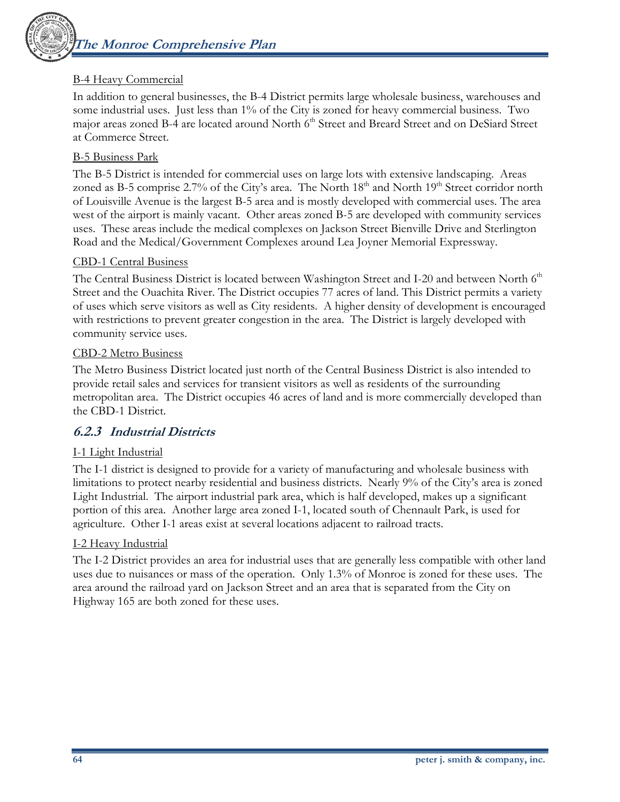

#### B-4 Heavy Commercial

In addition to general businesses, the B-4 District permits large wholesale business, warehouses and some industrial uses. Just less than 1% of the City is zoned for heavy commercial business. Two major areas zoned B-4 are located around North 6<sup>th</sup> Street and Breard Street and on DeSiard Street at Commerce Street.

#### B-5 Business Park

The B-5 District is intended for commercial uses on large lots with extensive landscaping. Areas zoned as B-5 comprise 2.7% of the City's area. The North 18<sup>th</sup> and North 19<sup>th</sup> Street corridor north of Louisville Avenue is the largest B-5 area and is mostly developed with commercial uses. The area west of the airport is mainly vacant. Other areas zoned B-5 are developed with community services uses. These areas include the medical complexes on Jackson Street Bienville Drive and Sterlington Road and the Medical/Government Complexes around Lea Joyner Memorial Expressway.

#### CBD-1 Central Business

The Central Business District is located between Washington Street and I-20 and between North 6<sup>th</sup> Street and the Ouachita River. The District occupies 77 acres of land. This District permits a variety of uses which serve visitors as well as City residents. A higher density of development is encouraged with restrictions to prevent greater congestion in the area. The District is largely developed with community service uses.

#### CBD-2 Metro Business

The Metro Business District located just north of the Central Business District is also intended to provide retail sales and services for transient visitors as well as residents of the surrounding metropolitan area. The District occupies 46 acres of land and is more commercially developed than the CBD-1 District.

#### **6.2.3 Industrial Districts**

#### I-1 Light Industrial

The I-1 district is designed to provide for a variety of manufacturing and wholesale business with limitations to protect nearby residential and business districts. Nearly 9% of the City's area is zoned Light Industrial. The airport industrial park area, which is half developed, makes up a significant portion of this area. Another large area zoned I-1, located south of Chennault Park, is used for agriculture. Other I-1 areas exist at several locations adjacent to railroad tracts.

#### I-2 Heavy Industrial

The I-2 District provides an area for industrial uses that are generally less compatible with other land uses due to nuisances or mass of the operation. Only 1.3% of Monroe is zoned for these uses. The area around the railroad yard on Jackson Street and an area that is separated from the City on Highway 165 are both zoned for these uses.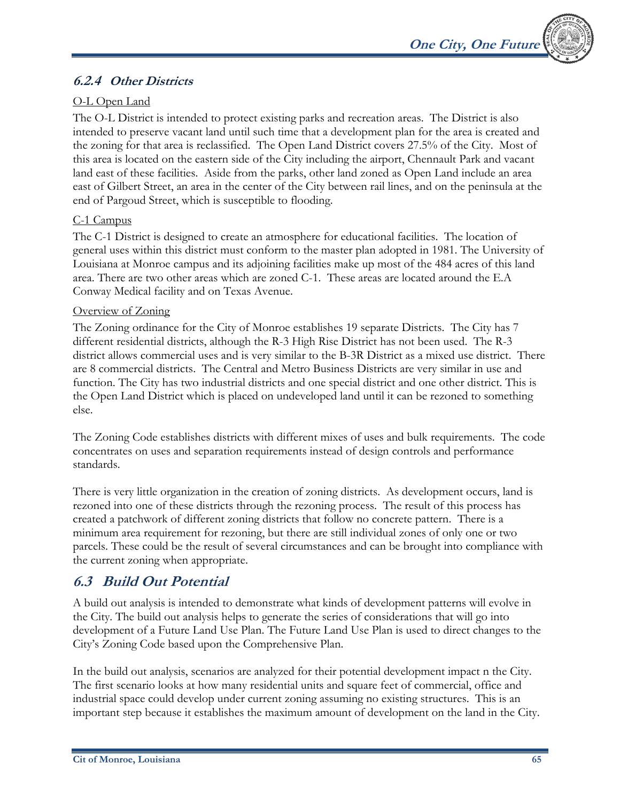

## **6.2.4 Other Districts**

## O-L Open Land

The O-L District is intended to protect existing parks and recreation areas. The District is also intended to preserve vacant land until such time that a development plan for the area is created and the zoning for that area is reclassified. The Open Land District covers 27.5% of the City. Most of this area is located on the eastern side of the City including the airport, Chennault Park and vacant land east of these facilities. Aside from the parks, other land zoned as Open Land include an area east of Gilbert Street, an area in the center of the City between rail lines, and on the peninsula at the end of Pargoud Street, which is susceptible to flooding.

#### C-1 Campus

The C-1 District is designed to create an atmosphere for educational facilities. The location of general uses within this district must conform to the master plan adopted in 1981. The University of Louisiana at Monroe campus and its adjoining facilities make up most of the 484 acres of this land area. There are two other areas which are zoned C-1. These areas are located around the E.A Conway Medical facility and on Texas Avenue.

#### Overview of Zoning

The Zoning ordinance for the City of Monroe establishes 19 separate Districts. The City has 7 different residential districts, although the R-3 High Rise District has not been used. The R-3 district allows commercial uses and is very similar to the B-3R District as a mixed use district. There are 8 commercial districts. The Central and Metro Business Districts are very similar in use and function. The City has two industrial districts and one special district and one other district. This is the Open Land District which is placed on undeveloped land until it can be rezoned to something else.

The Zoning Code establishes districts with different mixes of uses and bulk requirements. The code concentrates on uses and separation requirements instead of design controls and performance standards.

There is very little organization in the creation of zoning districts. As development occurs, land is rezoned into one of these districts through the rezoning process. The result of this process has created a patchwork of different zoning districts that follow no concrete pattern. There is a minimum area requirement for rezoning, but there are still individual zones of only one or two parcels. These could be the result of several circumstances and can be brought into compliance with the current zoning when appropriate.

## **6.3 Build Out Potential**

A build out analysis is intended to demonstrate what kinds of development patterns will evolve in the City. The build out analysis helps to generate the series of considerations that will go into development of a Future Land Use Plan. The Future Land Use Plan is used to direct changes to the City's Zoning Code based upon the Comprehensive Plan.

In the build out analysis, scenarios are analyzed for their potential development impact n the City. The first scenario looks at how many residential units and square feet of commercial, office and industrial space could develop under current zoning assuming no existing structures. This is an important step because it establishes the maximum amount of development on the land in the City.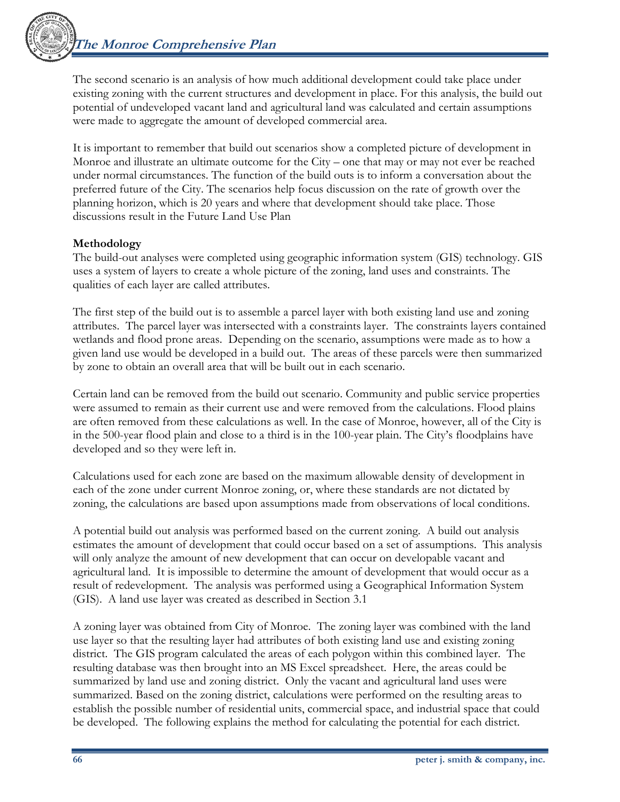

The second scenario is an analysis of how much additional development could take place under existing zoning with the current structures and development in place. For this analysis, the build out potential of undeveloped vacant land and agricultural land was calculated and certain assumptions were made to aggregate the amount of developed commercial area.

It is important to remember that build out scenarios show a completed picture of development in Monroe and illustrate an ultimate outcome for the City – one that may or may not ever be reached under normal circumstances. The function of the build outs is to inform a conversation about the preferred future of the City. The scenarios help focus discussion on the rate of growth over the planning horizon, which is 20 years and where that development should take place. Those discussions result in the Future Land Use Plan

### **Methodology**

The build-out analyses were completed using geographic information system (GIS) technology. GIS uses a system of layers to create a whole picture of the zoning, land uses and constraints. The qualities of each layer are called attributes.

The first step of the build out is to assemble a parcel layer with both existing land use and zoning attributes. The parcel layer was intersected with a constraints layer. The constraints layers contained wetlands and flood prone areas. Depending on the scenario, assumptions were made as to how a given land use would be developed in a build out. The areas of these parcels were then summarized by zone to obtain an overall area that will be built out in each scenario.

Certain land can be removed from the build out scenario. Community and public service properties were assumed to remain as their current use and were removed from the calculations. Flood plains are often removed from these calculations as well. In the case of Monroe, however, all of the City is in the 500-year flood plain and close to a third is in the 100-year plain. The City's floodplains have developed and so they were left in.

Calculations used for each zone are based on the maximum allowable density of development in each of the zone under current Monroe zoning, or, where these standards are not dictated by zoning, the calculations are based upon assumptions made from observations of local conditions.

A potential build out analysis was performed based on the current zoning. A build out analysis estimates the amount of development that could occur based on a set of assumptions. This analysis will only analyze the amount of new development that can occur on developable vacant and agricultural land. It is impossible to determine the amount of development that would occur as a result of redevelopment. The analysis was performed using a Geographical Information System (GIS). A land use layer was created as described in Section 3.1

A zoning layer was obtained from City of Monroe. The zoning layer was combined with the land use layer so that the resulting layer had attributes of both existing land use and existing zoning district. The GIS program calculated the areas of each polygon within this combined layer. The resulting database was then brought into an MS Excel spreadsheet. Here, the areas could be summarized by land use and zoning district. Only the vacant and agricultural land uses were summarized. Based on the zoning district, calculations were performed on the resulting areas to establish the possible number of residential units, commercial space, and industrial space that could be developed. The following explains the method for calculating the potential for each district.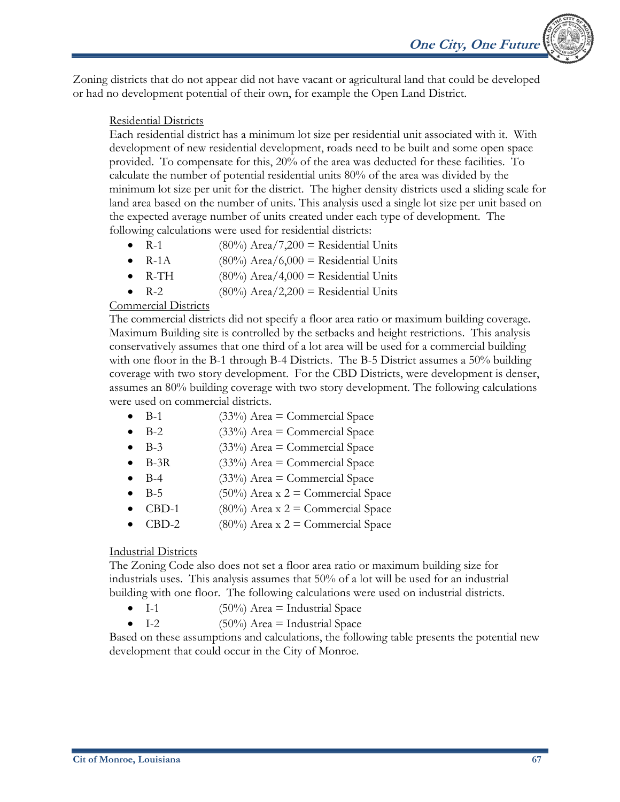Zoning districts that do not appear did not have vacant or agricultural land that could be developed or had no development potential of their own, for example the Open Land District.

#### Residential Districts

Each residential district has a minimum lot size per residential unit associated with it. With development of new residential development, roads need to be built and some open space provided. To compensate for this, 20% of the area was deducted for these facilities. To calculate the number of potential residential units 80% of the area was divided by the minimum lot size per unit for the district. The higher density districts used a sliding scale for land area based on the number of units. This analysis used a single lot size per unit based on the expected average number of units created under each type of development. The following calculations were used for residential districts:

- $R-1$  (80%) Area/7,200 = Residential Units
- R-1A (80%) Area/6,000 = Residential Units
- R-TH  $(80\%)$  Area/4,000 = Residential Units
- R-2  $(80\%)$  Area/2,200 = Residential Units

#### Commercial Districts

The commercial districts did not specify a floor area ratio or maximum building coverage. Maximum Building site is controlled by the setbacks and height restrictions. This analysis conservatively assumes that one third of a lot area will be used for a commercial building with one floor in the B-1 through B-4 Districts. The B-5 District assumes a 50% building coverage with two story development. For the CBD Districts, were development is denser, assumes an 80% building coverage with two story development. The following calculations were used on commercial districts.

- $B-1$  (33%) Area = Commercial Space
- B-2  $(33\%)$  Area = Commercial Space
- B-3  $(33\%)$  Area = Commercial Space
- $B-3R$  (33%) Area = Commercial Space
- B-4 (33%) Area = Commercial Space
- B-5 (50%) Area x  $2 =$  Commercial Space
- CBD-1 (80%) Area x  $2 =$  Commercial Space
- CBD-2 (80%) Area x  $2 =$  Commercial Space

#### Industrial Districts

The Zoning Code also does not set a floor area ratio or maximum building size for industrials uses. This analysis assumes that 50% of a lot will be used for an industrial building with one floor. The following calculations were used on industrial districts.

- I-1  $(50\%)$  Area = Industrial Space
- I-2  $(50\%)$  Area = Industrial Space

Based on these assumptions and calculations, the following table presents the potential new development that could occur in the City of Monroe.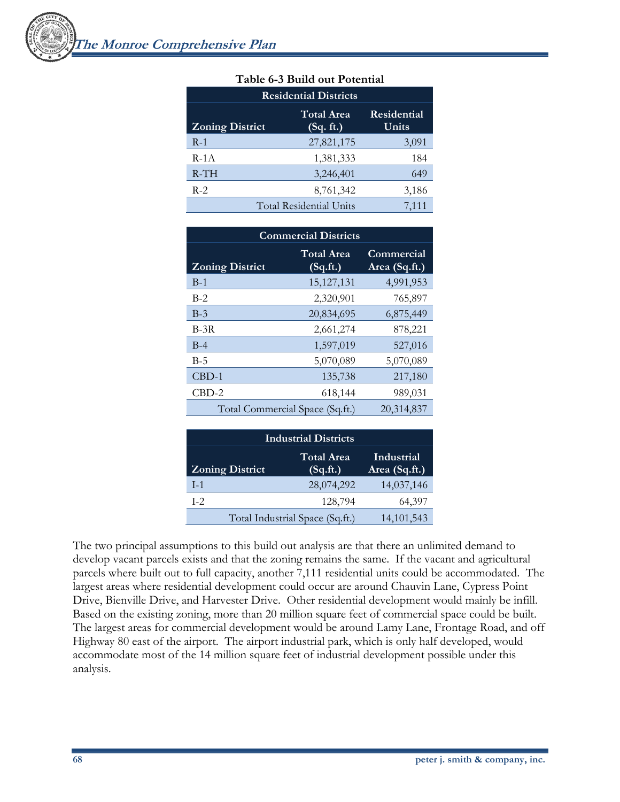| <b>Residential Districts</b> |                                |                             |  |
|------------------------------|--------------------------------|-----------------------------|--|
| <b>Zoning District</b>       | <b>Total Area</b><br>(Sq. ft.) | <b>Residential</b><br>Units |  |
| $R-1$                        | 27,821,175                     | 3,091                       |  |
| $R-1A$                       | 1,381,333                      | 184                         |  |
| $R-TH$                       | 3,246,401                      | 649                         |  |
| $R-2$                        | 8,761,342                      | 3,186                       |  |
|                              | <b>Total Residential Units</b> | 7,111                       |  |

#### **Table 6-3 Build out Potential**

| <b>Commercial Districts</b>     |                               |                             |  |
|---------------------------------|-------------------------------|-----------------------------|--|
| <b>Zoning District</b>          | <b>Total Area</b><br>(Sq.fr.) | Commercial<br>Area (Sq.ft.) |  |
| $B-1$                           | 15, 127, 131                  | 4,991,953                   |  |
| $B-2$                           | 2,320,901                     | 765,897                     |  |
| $B-3$                           | 20,834,695                    | 6,875,449                   |  |
| $B-3R$                          | 2,661,274                     | 878,221                     |  |
| $B-4$                           | 1,597,019                     | 527,016                     |  |
| $B-5$                           | 5,070,089                     | 5,070,089                   |  |
| $CBD-1$                         | 135,738                       | 217,180                     |  |
| $CBD-2$                         | 618,144                       | 989,031                     |  |
| Total Commercial Space (Sq.ft.) |                               | 20,314,837                  |  |

| <b>Industrial Districts</b> |                                 |                             |  |
|-----------------------------|---------------------------------|-----------------------------|--|
| <b>Zoning District</b>      | <b>Total Area</b><br>(Sq.fr.)   | Industrial<br>Area (Sq.ft.) |  |
| $I-1$                       | 28,074,292                      | 14,037,146                  |  |
| $I-2$                       | 128,794                         | 64,397                      |  |
|                             | Total Industrial Space (Sq.ft.) | 14, 101, 543                |  |

The two principal assumptions to this build out analysis are that there an unlimited demand to develop vacant parcels exists and that the zoning remains the same. If the vacant and agricultural parcels where built out to full capacity, another 7,111 residential units could be accommodated. The largest areas where residential development could occur are around Chauvin Lane, Cypress Point Drive, Bienville Drive, and Harvester Drive. Other residential development would mainly be infill. Based on the existing zoning, more than 20 million square feet of commercial space could be built. The largest areas for commercial development would be around Lamy Lane, Frontage Road, and off Highway 80 east of the airport. The airport industrial park, which is only half developed, would accommodate most of the 14 million square feet of industrial development possible under this analysis.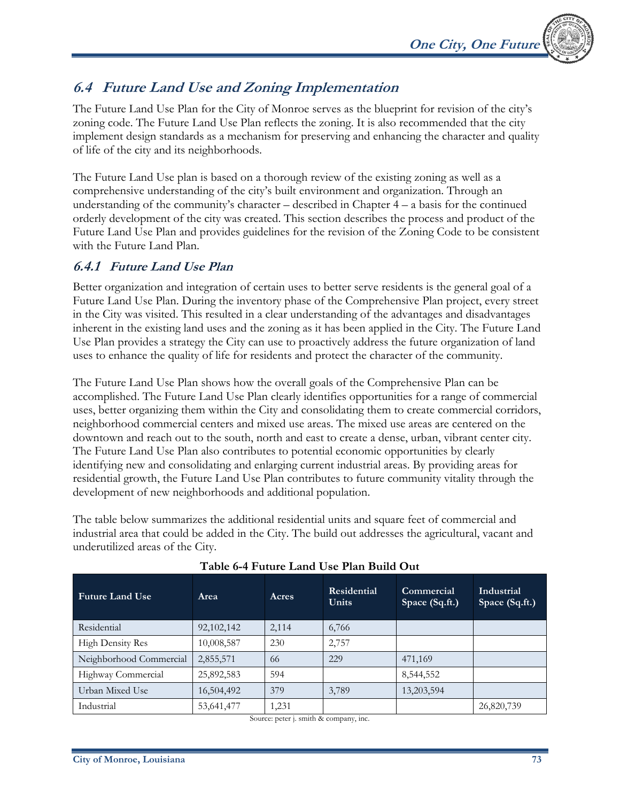

## **6.4 Future Land Use and Zoning Implementation**

The Future Land Use Plan for the City of Monroe serves as the blueprint for revision of the city's zoning code. The Future Land Use Plan reflects the zoning. It is also recommended that the city implement design standards as a mechanism for preserving and enhancing the character and quality of life of the city and its neighborhoods.

The Future Land Use plan is based on a thorough review of the existing zoning as well as a comprehensive understanding of the city's built environment and organization. Through an understanding of the community's character – described in Chapter  $4 - a$  basis for the continued orderly development of the city was created. This section describes the process and product of the Future Land Use Plan and provides guidelines for the revision of the Zoning Code to be consistent with the Future Land Plan.

## **6.4.1 Future Land Use Plan**

Better organization and integration of certain uses to better serve residents is the general goal of a Future Land Use Plan. During the inventory phase of the Comprehensive Plan project, every street in the City was visited. This resulted in a clear understanding of the advantages and disadvantages inherent in the existing land uses and the zoning as it has been applied in the City. The Future Land Use Plan provides a strategy the City can use to proactively address the future organization of land uses to enhance the quality of life for residents and protect the character of the community.

The Future Land Use Plan shows how the overall goals of the Comprehensive Plan can be accomplished. The Future Land Use Plan clearly identifies opportunities for a range of commercial uses, better organizing them within the City and consolidating them to create commercial corridors, neighborhood commercial centers and mixed use areas. The mixed use areas are centered on the downtown and reach out to the south, north and east to create a dense, urban, vibrant center city. The Future Land Use Plan also contributes to potential economic opportunities by clearly identifying new and consolidating and enlarging current industrial areas. By providing areas for residential growth, the Future Land Use Plan contributes to future community vitality through the development of new neighborhoods and additional population.

The table below summarizes the additional residential units and square feet of commercial and industrial area that could be added in the City. The build out addresses the agricultural, vacant and underutilized areas of the City.

| <b>Future Land Use</b>  | Area         | Acres | Residential<br><b>Units</b> | Commercial<br>Space (Sq.ft.) | Industrial<br>Space (Sq.ft.) |
|-------------------------|--------------|-------|-----------------------------|------------------------------|------------------------------|
| Residential             | 92, 102, 142 | 2,114 | 6,766                       |                              |                              |
| <b>High Density Res</b> | 10,008,587   | 230   | 2,757                       |                              |                              |
| Neighborhood Commercial | 2,855,571    | 66    | 229                         | 471,169                      |                              |
| Highway Commercial      | 25,892,583   | 594   |                             | 8,544,552                    |                              |
| Urban Mixed Use         | 16,504,492   | 379   | 3,789                       | 13,203,594                   |                              |
| Industrial              | 53,641,477   | 1,231 |                             |                              | 26,820,739                   |

#### **Table 6-4 Future Land Use Plan Build Out**

Source: peter j. smith & company, inc.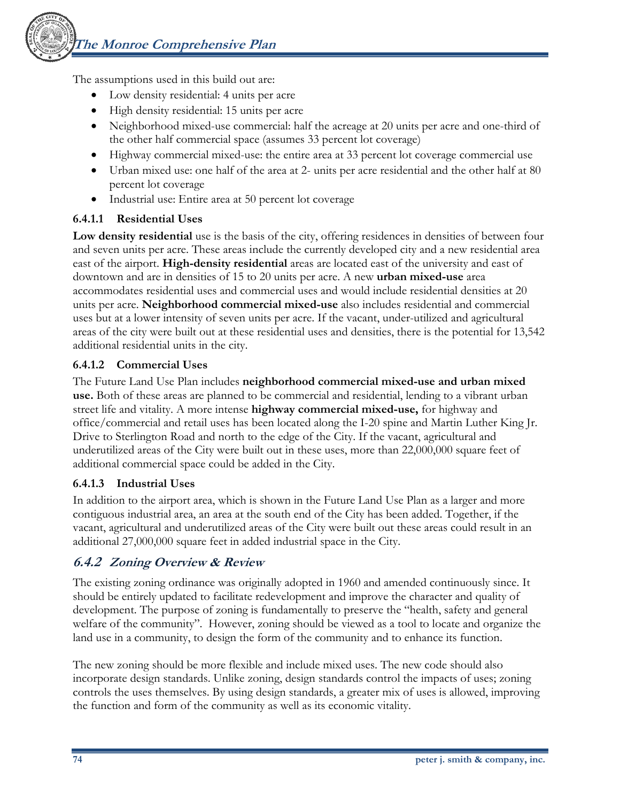The assumptions used in this build out are:

- Low density residential: 4 units per acre
- High density residential: 15 units per acre
- Neighborhood mixed-use commercial: half the acreage at 20 units per acre and one-third of the other half commercial space (assumes 33 percent lot coverage)
- Highway commercial mixed-use: the entire area at 33 percent lot coverage commercial use
- Urban mixed use: one half of the area at 2- units per acre residential and the other half at 80 percent lot coverage
- Industrial use: Entire area at 50 percent lot coverage

### **6.4.1.1 Residential Uses**

**Low density residential** use is the basis of the city, offering residences in densities of between four and seven units per acre. These areas include the currently developed city and a new residential area east of the airport. **High-density residential** areas are located east of the university and east of downtown and are in densities of 15 to 20 units per acre. A new **urban mixed-use** area accommodates residential uses and commercial uses and would include residential densities at 20 units per acre. **Neighborhood commercial mixed-use** also includes residential and commercial uses but at a lower intensity of seven units per acre. If the vacant, under-utilized and agricultural areas of the city were built out at these residential uses and densities, there is the potential for 13,542 additional residential units in the city.

### **6.4.1.2 Commercial Uses**

The Future Land Use Plan includes **neighborhood commercial mixed-use and urban mixed use.** Both of these areas are planned to be commercial and residential, lending to a vibrant urban street life and vitality. A more intense **highway commercial mixed-use,** for highway and office/commercial and retail uses has been located along the I-20 spine and Martin Luther King Jr. Drive to Sterlington Road and north to the edge of the City. If the vacant, agricultural and underutilized areas of the City were built out in these uses, more than 22,000,000 square feet of additional commercial space could be added in the City.

#### **6.4.1.3 Industrial Uses**

In addition to the airport area, which is shown in the Future Land Use Plan as a larger and more contiguous industrial area, an area at the south end of the City has been added. Together, if the vacant, agricultural and underutilized areas of the City were built out these areas could result in an additional 27,000,000 square feet in added industrial space in the City.

## **6.4.2 Zoning Overview & Review**

The existing zoning ordinance was originally adopted in 1960 and amended continuously since. It should be entirely updated to facilitate redevelopment and improve the character and quality of development. The purpose of zoning is fundamentally to preserve the "health, safety and general welfare of the community". However, zoning should be viewed as a tool to locate and organize the land use in a community, to design the form of the community and to enhance its function.

The new zoning should be more flexible and include mixed uses. The new code should also incorporate design standards. Unlike zoning, design standards control the impacts of uses; zoning controls the uses themselves. By using design standards, a greater mix of uses is allowed, improving the function and form of the community as well as its economic vitality.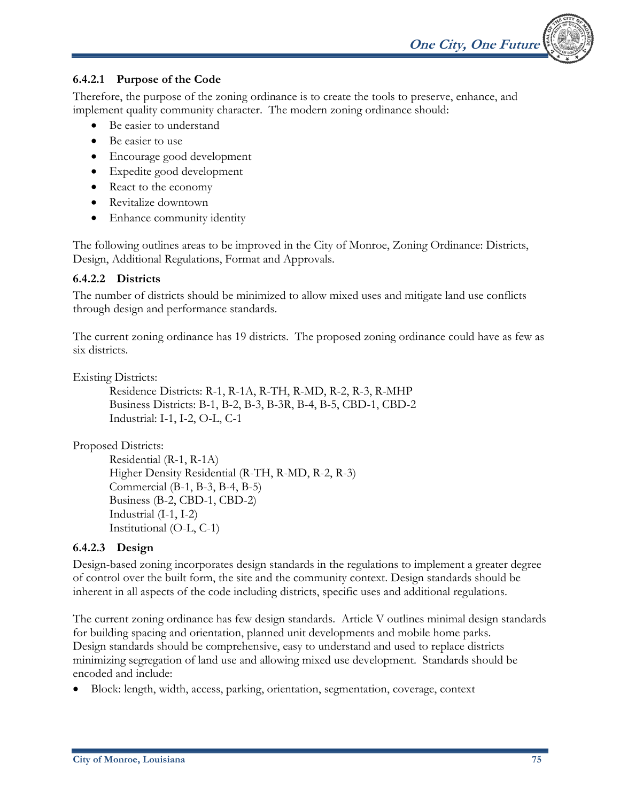

#### **6.4.2.1 Purpose of the Code**

Therefore, the purpose of the zoning ordinance is to create the tools to preserve, enhance, and implement quality community character. The modern zoning ordinance should:

- Be easier to understand
- Be easier to use
- Encourage good development
- Expedite good development
- React to the economy
- Revitalize downtown
- Enhance community identity

The following outlines areas to be improved in the City of Monroe, Zoning Ordinance: Districts, Design, Additional Regulations, Format and Approvals.

#### **6.4.2.2 Districts**

The number of districts should be minimized to allow mixed uses and mitigate land use conflicts through design and performance standards.

The current zoning ordinance has 19 districts. The proposed zoning ordinance could have as few as six districts.

Existing Districts:

Residence Districts: R-1, R-1A, R-TH, R-MD, R-2, R-3, R-MHP Business Districts: B-1, B-2, B-3, B-3R, B-4, B-5, CBD-1, CBD-2 Industrial: I-1, I-2, O-L, C-1

Proposed Districts:

Residential (R-1, R-1A) Higher Density Residential (R-TH, R-MD, R-2, R-3) Commercial (B-1, B-3, B-4, B-5) Business (B-2, CBD-1, CBD-2) Industrial (I-1, I-2) Institutional (O-L, C-1)

#### **6.4.2.3 Design**

Design-based zoning incorporates design standards in the regulations to implement a greater degree of control over the built form, the site and the community context. Design standards should be inherent in all aspects of the code including districts, specific uses and additional regulations.

The current zoning ordinance has few design standards. Article V outlines minimal design standards for building spacing and orientation, planned unit developments and mobile home parks. Design standards should be comprehensive, easy to understand and used to replace districts minimizing segregation of land use and allowing mixed use development. Standards should be encoded and include:

• Block: length, width, access, parking, orientation, segmentation, coverage, context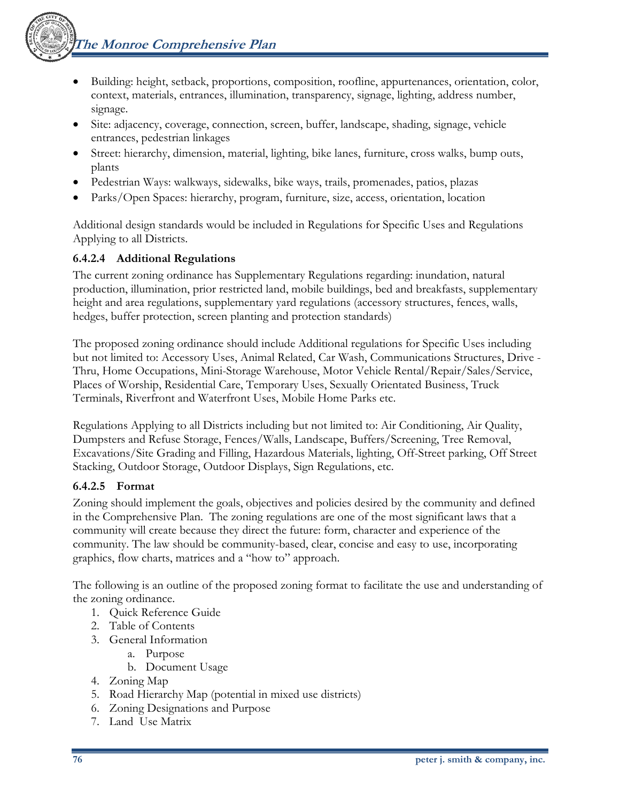**The Monroe Comprehensive Plan** 

- - Building: height, setback, proportions, composition, roofline, appurtenances, orientation, color, context, materials, entrances, illumination, transparency, signage, lighting, address number, signage.
	- Site: adjacency, coverage, connection, screen, buffer, landscape, shading, signage, vehicle entrances, pedestrian linkages
	- Street: hierarchy, dimension, material, lighting, bike lanes, furniture, cross walks, bump outs, plants
	- Pedestrian Ways: walkways, sidewalks, bike ways, trails, promenades, patios, plazas
	- Parks/Open Spaces: hierarchy, program, furniture, size, access, orientation, location

Additional design standards would be included in Regulations for Specific Uses and Regulations Applying to all Districts.

## **6.4.2.4 Additional Regulations**

The current zoning ordinance has Supplementary Regulations regarding: inundation, natural production, illumination, prior restricted land, mobile buildings, bed and breakfasts, supplementary height and area regulations, supplementary yard regulations (accessory structures, fences, walls, hedges, buffer protection, screen planting and protection standards)

The proposed zoning ordinance should include Additional regulations for Specific Uses including but not limited to: Accessory Uses, Animal Related, Car Wash, Communications Structures, Drive - Thru, Home Occupations, Mini-Storage Warehouse, Motor Vehicle Rental/Repair/Sales/Service, Places of Worship, Residential Care, Temporary Uses, Sexually Orientated Business, Truck Terminals, Riverfront and Waterfront Uses, Mobile Home Parks etc.

Regulations Applying to all Districts including but not limited to: Air Conditioning, Air Quality, Dumpsters and Refuse Storage, Fences/Walls, Landscape, Buffers/Screening, Tree Removal, Excavations/Site Grading and Filling, Hazardous Materials, lighting, Off-Street parking, Off Street Stacking, Outdoor Storage, Outdoor Displays, Sign Regulations, etc.

## **6.4.2.5 Format**

Zoning should implement the goals, objectives and policies desired by the community and defined in the Comprehensive Plan. The zoning regulations are one of the most significant laws that a community will create because they direct the future: form, character and experience of the community. The law should be community-based, clear, concise and easy to use, incorporating graphics, flow charts, matrices and a "how to" approach.

The following is an outline of the proposed zoning format to facilitate the use and understanding of the zoning ordinance.

- 1. Quick Reference Guide
- 2. Table of Contents
- 3. General Information
	- a. Purpose
	- b. Document Usage
- 4. Zoning Map
- 5. Road Hierarchy Map (potential in mixed use districts)
- 6. Zoning Designations and Purpose
- 7. Land Use Matrix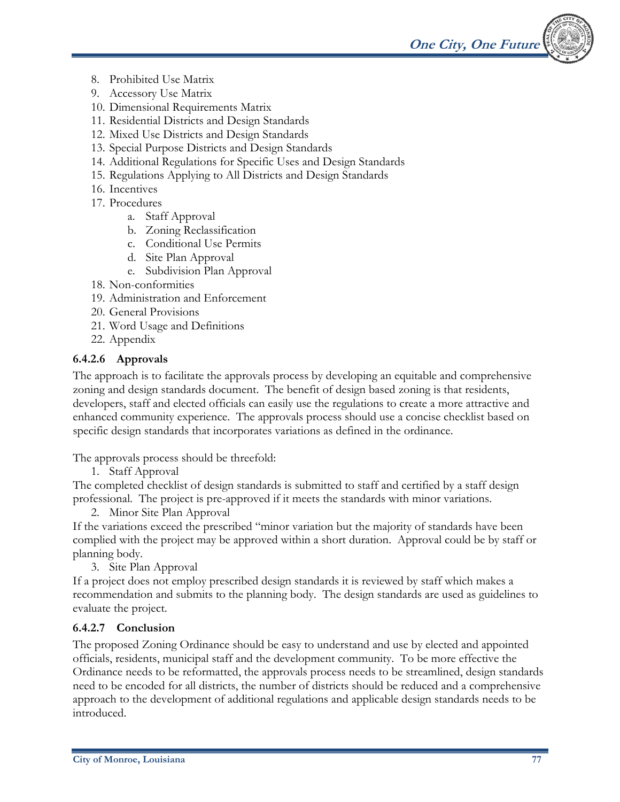

- 8. Prohibited Use Matrix
- 9. Accessory Use Matrix
- 10. Dimensional Requirements Matrix
- 11. Residential Districts and Design Standards
- 12. Mixed Use Districts and Design Standards
- 13. Special Purpose Districts and Design Standards
- 14. Additional Regulations for Specific Uses and Design Standards
- 15. Regulations Applying to All Districts and Design Standards
- 16. Incentives
- 17. Procedures
	- a. Staff Approval
	- b. Zoning Reclassification
	- c. Conditional Use Permits
	- d. Site Plan Approval
	- e. Subdivision Plan Approval
- 18. Non-conformities
- 19. Administration and Enforcement
- 20. General Provisions
- 21. Word Usage and Definitions
- 22. Appendix

#### **6.4.2.6 Approvals**

The approach is to facilitate the approvals process by developing an equitable and comprehensive zoning and design standards document. The benefit of design based zoning is that residents, developers, staff and elected officials can easily use the regulations to create a more attractive and enhanced community experience. The approvals process should use a concise checklist based on specific design standards that incorporates variations as defined in the ordinance.

The approvals process should be threefold:

1. Staff Approval

The completed checklist of design standards is submitted to staff and certified by a staff design professional. The project is pre-approved if it meets the standards with minor variations.

2. Minor Site Plan Approval

If the variations exceed the prescribed "minor variation but the majority of standards have been complied with the project may be approved within a short duration. Approval could be by staff or planning body.

3. Site Plan Approval

If a project does not employ prescribed design standards it is reviewed by staff which makes a recommendation and submits to the planning body. The design standards are used as guidelines to evaluate the project.

#### **6.4.2.7 Conclusion**

The proposed Zoning Ordinance should be easy to understand and use by elected and appointed officials, residents, municipal staff and the development community. To be more effective the Ordinance needs to be reformatted, the approvals process needs to be streamlined, design standards need to be encoded for all districts, the number of districts should be reduced and a comprehensive approach to the development of additional regulations and applicable design standards needs to be introduced.